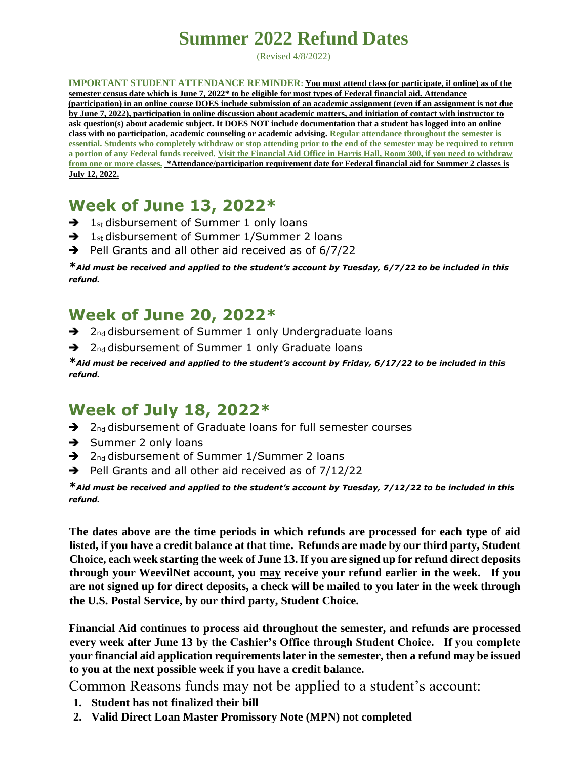## **Summer 2022 Refund Dates**

(Revised 4/8/2022)

**IMPORTANT STUDENT ATTENDANCE REMINDER: You must attend class (or participate, if online) as of the semester census date which is June 7, 2022\* to be eligible for most types of Federal financial aid. Attendance (participation) in an online course DOES include submission of an academic assignment (even if an assignment is not due by June 7, 2022), participation in online discussion about academic matters, and initiation of contact with instructor to ask question(s) about academic subject. It DOES NOT include documentation that a student has logged into an online class with no participation, academic counseling or academic advising. Regular attendance throughout the semester is essential. Students who completely withdraw or stop attending prior to the end of the semester may be required to return a portion of any Federal funds received. Visit the Financial Aid Office in Harris Hall, Room 300, if you need to withdraw from one or more classes. \*Attendance/participation requirement date for Federal financial aid for Summer 2 classes is July 12, 2022.**

## **Week of June 13, 2022\***

- $\rightarrow$  1<sub>st</sub> disbursement of Summer 1 only loans
- $\rightarrow$  1<sub>st</sub> disbursement of Summer 1/Summer 2 loans
- $\rightarrow$  Pell Grants and all other aid received as of 6/7/22

*\*Aid must be received and applied to the student's account by Tuesday, 6/7/22 to be included in this refund.*

## **Week of June 20, 2022\***

- → 2nd disbursement of Summer 1 only Undergraduate loans
- $\rightarrow$  2<sub>nd</sub> disbursement of Summer 1 only Graduate loans

*\*Aid must be received and applied to the student's account by Friday, 6/17/22 to be included in this refund.*

## **Week of July 18, 2022\***

- → 2nd disbursement of Graduate loans for full semester courses
- **→** Summer 2 only loans
- $\rightarrow$  2<sub>nd</sub> disbursement of Summer 1/Summer 2 loans
- $\rightarrow$  Pell Grants and all other aid received as of 7/12/22

*\*Aid must be received and applied to the student's account by Tuesday, 7/12/22 to be included in this refund.*

**The dates above are the time periods in which refunds are processed for each type of aid listed, if you have a credit balance at that time. Refunds are made by our third party, Student Choice, each week starting the week of June 13. If you are signed up for refund direct deposits through your WeevilNet account, you may receive your refund earlier in the week. If you are not signed up for direct deposits, a check will be mailed to you later in the week through the U.S. Postal Service, by our third party, Student Choice.**

**Financial Aid continues to process aid throughout the semester, and refunds are processed every week after June 13 by the Cashier's Office through Student Choice. If you complete your financial aid application requirements later in the semester, then a refund may be issued to you at the next possible week if you have a credit balance.**

Common Reasons funds may not be applied to a student's account:

- **1. Student has not finalized their bill**
- **2. Valid Direct Loan Master Promissory Note (MPN) not completed**